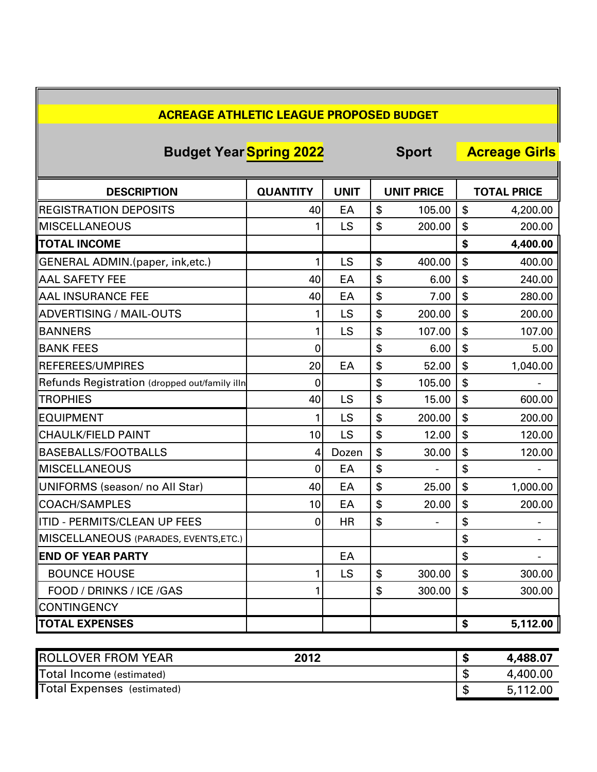| <b>Budget Year Spring 2022</b>                |                 |             | <b>Sport</b> |                          | <b>Acreage Girls</b> |                          |
|-----------------------------------------------|-----------------|-------------|--------------|--------------------------|----------------------|--------------------------|
| <b>DESCRIPTION</b>                            | <b>QUANTITY</b> | <b>UNIT</b> |              | <b>UNIT PRICE</b>        |                      | <b>TOTAL PRICE</b>       |
| <b>REGISTRATION DEPOSITS</b>                  | 40              | EA          | \$           | 105.00                   | \$                   | 4,200.00                 |
| <b>MISCELLANEOUS</b>                          |                 | LS          | \$           | 200.00                   | \$                   | 200.00                   |
| <b>TOTAL INCOME</b>                           |                 |             |              |                          | \$                   | 4,400.00                 |
| GENERAL ADMIN.(paper, ink,etc.)               | 1               | LS          | \$           | 400.00                   | \$                   | 400.00                   |
| <b>AAL SAFETY FEE</b>                         | 40              | EA          | \$           | 6.00                     | \$                   | 240.00                   |
| <b>AAL INSURANCE FEE</b>                      | 40              | EA          | \$           | 7.00                     | \$                   | 280.00                   |
| ADVERTISING / MAIL-OUTS                       |                 | LS          | \$           | 200.00                   | \$                   | 200.00                   |
| <b>BANNERS</b>                                | 1               | LS          | \$           | 107.00                   | \$                   | 107.00                   |
| <b>BANK FEES</b>                              | 0               |             | \$           | 6.00                     | \$                   | 5.00                     |
| <b>REFEREES/UMPIRES</b>                       | 20              | EA          | \$           | 52.00                    | \$                   | 1,040.00                 |
| Refunds Registration (dropped out/family illn | 0               |             | \$           | 105.00                   | \$                   |                          |
| <b>TROPHIES</b>                               | 40              | LS          | \$           | 15.00                    | \$                   | 600.00                   |
| <b>EQUIPMENT</b>                              |                 | LS          | \$           | 200.00                   | \$                   | 200.00                   |
| CHAULK/FIELD PAINT                            | 10              | LS          | \$           | 12.00                    | \$                   | 120.00                   |
| BASEBALLS/FOOTBALLS                           | 4               | Dozen       | \$           | 30.00                    | \$                   | 120.00                   |
| <b>MISCELLANEOUS</b>                          | 0               | EA          | \$           | $\overline{\phantom{a}}$ | \$                   |                          |
| UNIFORMS (season/ no All Star)                | 40              | EA          | \$           | 25.00                    | \$                   | 1,000.00                 |
| <b>ICOACH/SAMPLES</b>                         | 10              | EA          | \$           | 20.00                    | \$                   | 200.00                   |
| ITID - PERMITS/CLEAN UP FEES                  | 0               | <b>HR</b>   | \$           |                          | \$                   |                          |
| MISCELLANEOUS (PARADES, EVENTS, ETC.)         |                 |             |              |                          | \$                   | $\overline{\phantom{a}}$ |
| <b>END OF YEAR PARTY</b>                      |                 | EA          |              |                          | \$                   |                          |
| <b>BOUNCE HOUSE</b>                           |                 | LS          | \$           | 300.00                   | \$                   | 300.00                   |
| FOOD / DRINKS / ICE /GAS                      |                 |             | \$           | 300.00                   | \$                   | 300.00                   |
| <b>CONTINGENCY</b>                            |                 |             |              |                          |                      |                          |
| <b>TOTAL EXPENSES</b>                         |                 |             |              |                          | \$                   | 5,112.00                 |

E

| <b>ROLLOVER FROM YEAR</b>         | 2012 | æ | 4,488.07 |
|-----------------------------------|------|---|----------|
| Total Income (estimated)          |      |   | 4,400.00 |
| <b>Total Expenses</b> (estimated) |      |   | 5,112.00 |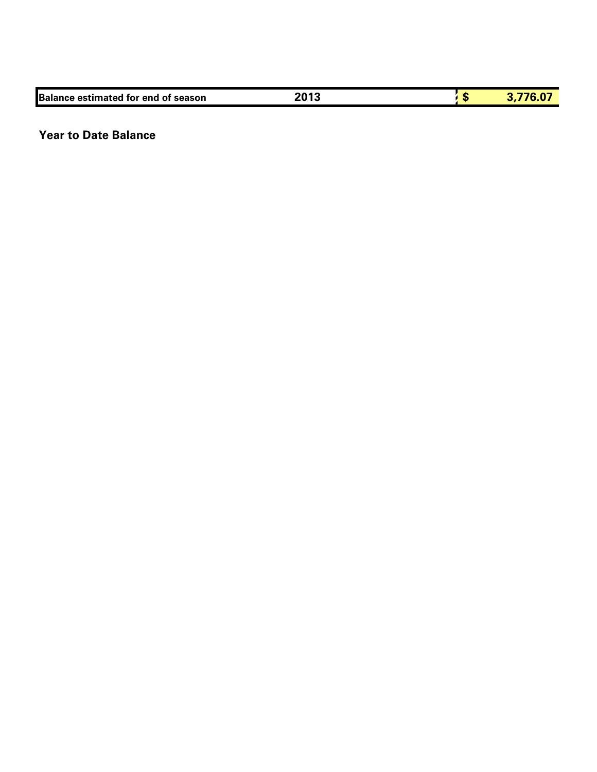| <b>Balance estimated for end of season</b> | $201^{\circ}$<br>13 | - 12 |  |
|--------------------------------------------|---------------------|------|--|
|                                            |                     |      |  |

## **Year to Date Balance**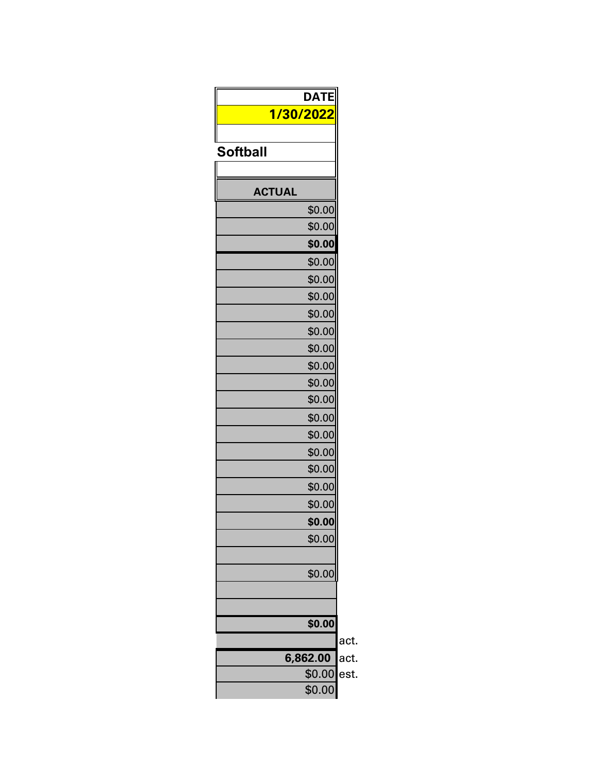| <b>DATE</b>     |
|-----------------|
| 1/30/2022       |
|                 |
| <b>Softball</b> |
|                 |
| <b>ACTUAL</b>   |
| \$0.00          |
| \$0.00          |
| \$0.00          |
| \$0.00          |
| \$0.00          |
| \$0.00          |
| \$0.00          |
| \$0.00          |
| \$0.00          |
| \$0.00          |
| \$0.00          |
| \$0.00          |
| \$0.00          |
| \$0.00          |
| \$0.00          |
| \$0.00          |
| \$0.00          |
| \$0.00          |
| \$0.00          |
| \$0.00          |
| \$0.00          |
|                 |
|                 |
| \$0.00          |
| 6,862.00        |
| \$0.00          |
| \$0.00          |